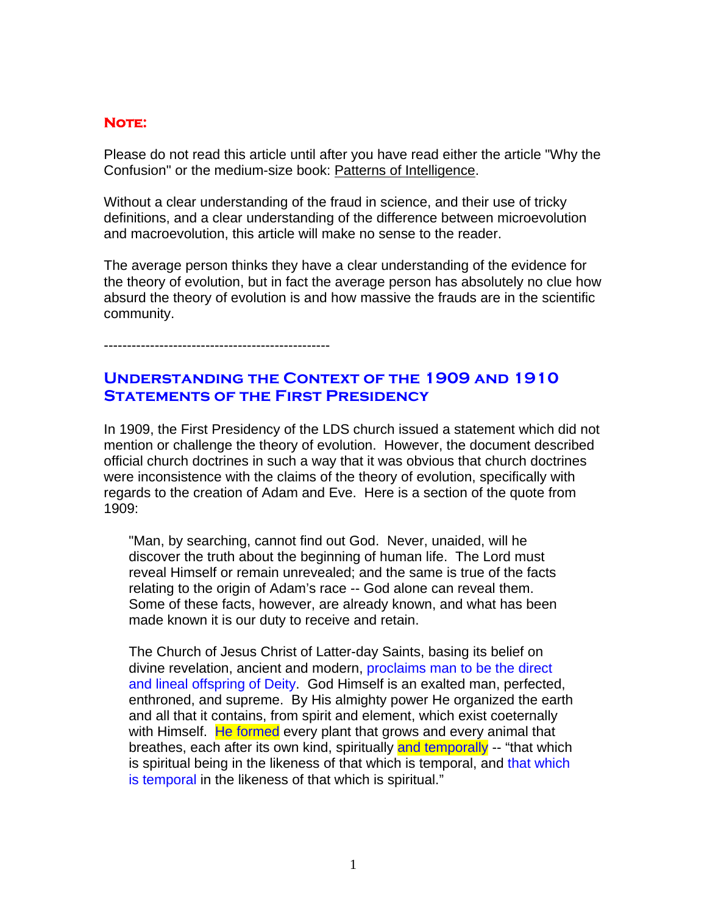## **Note:**

Please do not read this article until after you have read either the article "Why the Confusion" or the medium-size book: Patterns of Intelligence.

Without a clear understanding of the fraud in science, and their use of tricky definitions, and a clear understanding of the difference between microevolution and macroevolution, this article will make no sense to the reader.

The average person thinks they have a clear understanding of the evidence for the theory of evolution, but in fact the average person has absolutely no clue how absurd the theory of evolution is and how massive the frauds are in the scientific community.

-------------------------------------------------

## **Understanding the Context of the 1909 and 1910 Statements of the First Presidency**

In 1909, the First Presidency of the LDS church issued a statement which did not mention or challenge the theory of evolution. However, the document described official church doctrines in such a way that it was obvious that church doctrines were inconsistence with the claims of the theory of evolution, specifically with regards to the creation of Adam and Eve. Here is a section of the quote from 1909:

"Man, by searching, cannot find out God. Never, unaided, will he discover the truth about the beginning of human life. The Lord must reveal Himself or remain unrevealed; and the same is true of the facts relating to the origin of Adam's race -- God alone can reveal them. Some of these facts, however, are already known, and what has been made known it is our duty to receive and retain.

The Church of Jesus Christ of Latter-day Saints, basing its belief on divine revelation, ancient and modern, proclaims man to be the direct and lineal offspring of Deity. God Himself is an exalted man, perfected, enthroned, and supreme. By His almighty power He organized the earth and all that it contains, from spirit and element, which exist coeternally with Himself. He formed every plant that grows and every animal that breathes, each after its own kind, spiritually and temporally -- "that which is spiritual being in the likeness of that which is temporal, and that which is temporal in the likeness of that which is spiritual."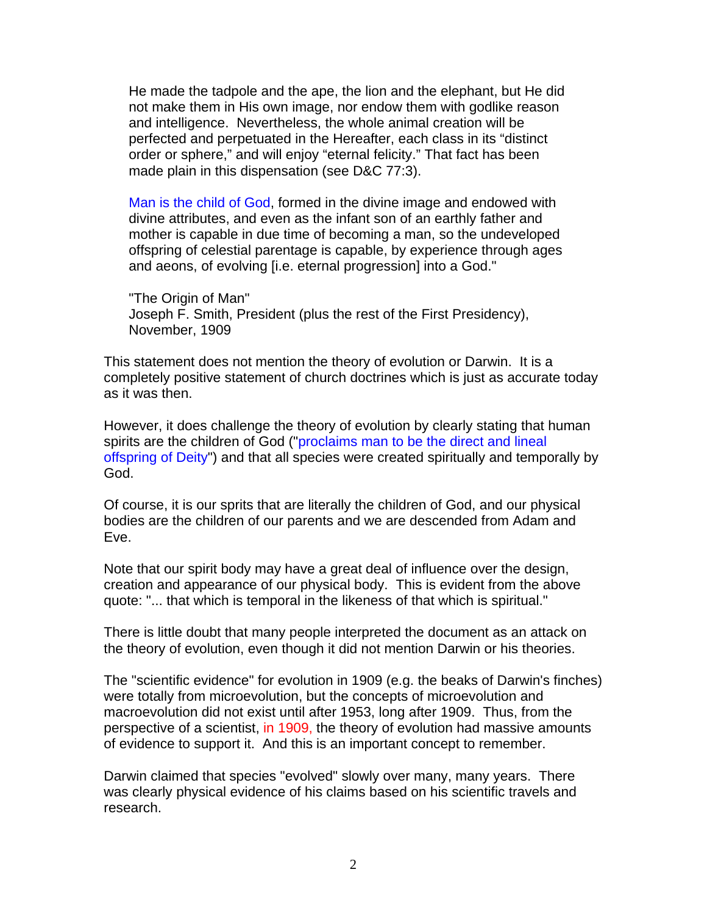He made the tadpole and the ape, the lion and the elephant, but He did not make them in His own image, nor endow them with godlike reason and intelligence. Nevertheless, the whole animal creation will be perfected and perpetuated in the Hereafter, each class in its "distinct order or sphere," and will enjoy "eternal felicity." That fact has been made plain in this dispensation (see D&C 77:3).

Man is the child of God, formed in the divine image and endowed with divine attributes, and even as the infant son of an earthly father and mother is capable in due time of becoming a man, so the undeveloped offspring of celestial parentage is capable, by experience through ages and aeons, of evolving [i.e. eternal progression] into a God."

"The Origin of Man" Joseph F. Smith, President (plus the rest of the First Presidency), November, 1909

This statement does not mention the theory of evolution or Darwin. It is a completely positive statement of church doctrines which is just as accurate today as it was then.

However, it does challenge the theory of evolution by clearly stating that human spirits are the children of God ("proclaims man to be the direct and lineal offspring of Deity") and that all species were created spiritually and temporally by God.

Of course, it is our sprits that are literally the children of God, and our physical bodies are the children of our parents and we are descended from Adam and Eve.

Note that our spirit body may have a great deal of influence over the design, creation and appearance of our physical body. This is evident from the above quote: "... that which is temporal in the likeness of that which is spiritual."

There is little doubt that many people interpreted the document as an attack on the theory of evolution, even though it did not mention Darwin or his theories.

The "scientific evidence" for evolution in 1909 (e.g. the beaks of Darwin's finches) were totally from microevolution, but the concepts of microevolution and macroevolution did not exist until after 1953, long after 1909. Thus, from the perspective of a scientist, in 1909, the theory of evolution had massive amounts of evidence to support it. And this is an important concept to remember.

Darwin claimed that species "evolved" slowly over many, many years. There was clearly physical evidence of his claims based on his scientific travels and research.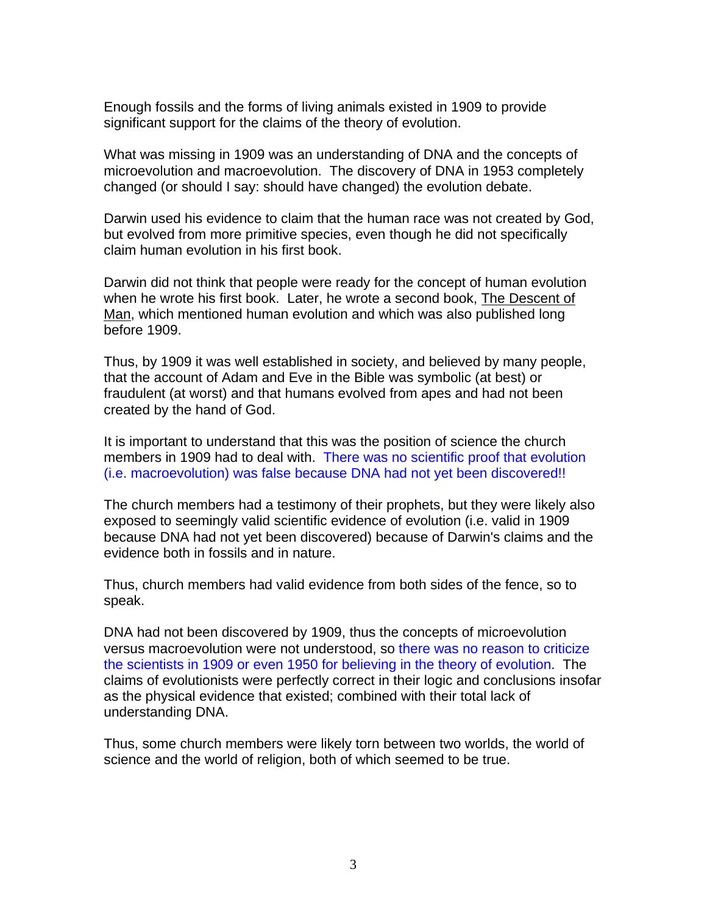Enough fossils and the forms of living animals existed in 1909 to provide significant support for the claims of the theory of evolution.

What was missing in 1909 was an understanding of DNA and the concepts of microevolution and macroevolution. The discovery of DNA in 1953 completely changed (or should I say: should have changed) the evolution debate.

Darwin used his evidence to claim that the human race was not created by God, but evolved from more primitive species, even though he did not specifically claim human evolution in his first book.

Darwin did not think that people were ready for the concept of human evolution when he wrote his first book. Later, he wrote a second book, The Descent of Man, which mentioned human evolution and which was also published long before 1909.

Thus, by 1909 it was well established in society, and believed by many people, that the account of Adam and Eve in the Bible was symbolic (at best) or fraudulent (at worst) and that humans evolved from apes and had not been created by the hand of God.

It is important to understand that this was the position of science the church members in 1909 had to deal with. There was no scientific proof that evolution (i.e. macroevolution) was false because DNA had not yet been discovered!!

The church members had a testimony of their prophets, but they were likely also exposed to seemingly valid scientific evidence of evolution (i.e. valid in 1909 because DNA had not yet been discovered) because of Darwin's claims and the evidence both in fossils and in nature.

Thus, church members had valid evidence from both sides of the fence, so to speak.

DNA had not been discovered by 1909, thus the concepts of microevolution versus macroevolution were not understood, so there was no reason to criticize the scientists in 1909 or even 1950 for believing in the theory of evolution. The claims of evolutionists were perfectly correct in their logic and conclusions insofar as the physical evidence that existed; combined with their total lack of understanding DNA.

Thus, some church members were likely torn between two worlds, the world of science and the world of religion, both of which seemed to be true.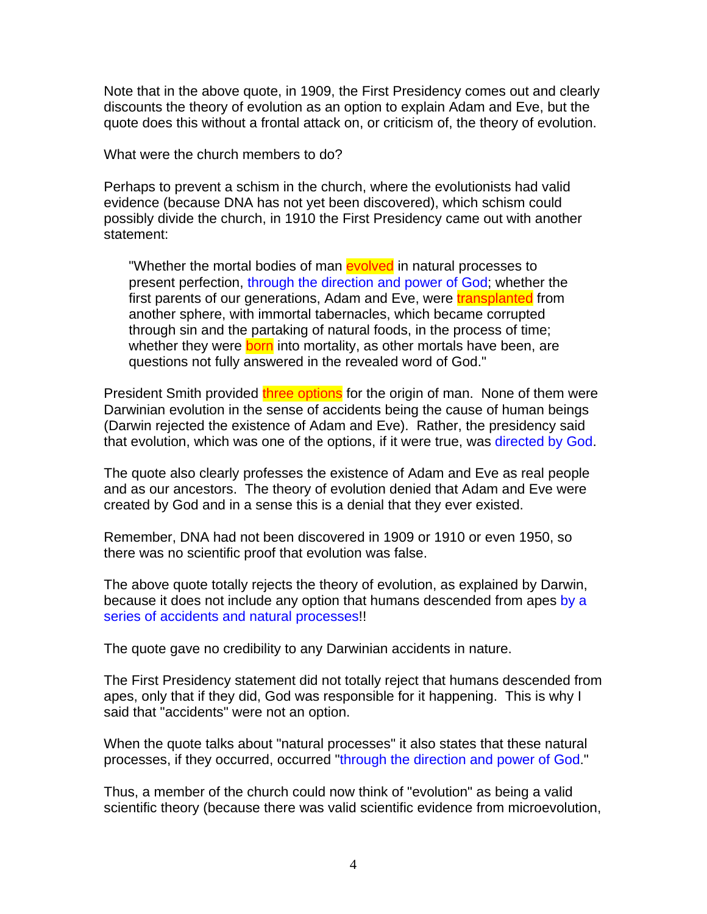Note that in the above quote, in 1909, the First Presidency comes out and clearly discounts the theory of evolution as an option to explain Adam and Eve, but the quote does this without a frontal attack on, or criticism of, the theory of evolution.

What were the church members to do?

Perhaps to prevent a schism in the church, where the evolutionists had valid evidence (because DNA has not yet been discovered), which schism could possibly divide the church, in 1910 the First Presidency came out with another statement:

"Whether the mortal bodies of man **evolved** in natural processes to present perfection, through the direction and power of God; whether the first parents of our generations, Adam and Eve, were **transplanted** from another sphere, with immortal tabernacles, which became corrupted through sin and the partaking of natural foods, in the process of time; whether they were **born** into mortality, as other mortals have been, are questions not fully answered in the revealed word of God."

President Smith provided three options for the origin of man. None of them were Darwinian evolution in the sense of accidents being the cause of human beings (Darwin rejected the existence of Adam and Eve). Rather, the presidency said that evolution, which was one of the options, if it were true, was directed by God.

The quote also clearly professes the existence of Adam and Eve as real people and as our ancestors. The theory of evolution denied that Adam and Eve were created by God and in a sense this is a denial that they ever existed.

Remember, DNA had not been discovered in 1909 or 1910 or even 1950, so there was no scientific proof that evolution was false.

The above quote totally rejects the theory of evolution, as explained by Darwin, because it does not include any option that humans descended from apes by a series of accidents and natural processes!!

The quote gave no credibility to any Darwinian accidents in nature.

The First Presidency statement did not totally reject that humans descended from apes, only that if they did, God was responsible for it happening. This is why I said that "accidents" were not an option.

When the quote talks about "natural processes" it also states that these natural processes, if they occurred, occurred "through the direction and power of God."

Thus, a member of the church could now think of "evolution" as being a valid scientific theory (because there was valid scientific evidence from microevolution,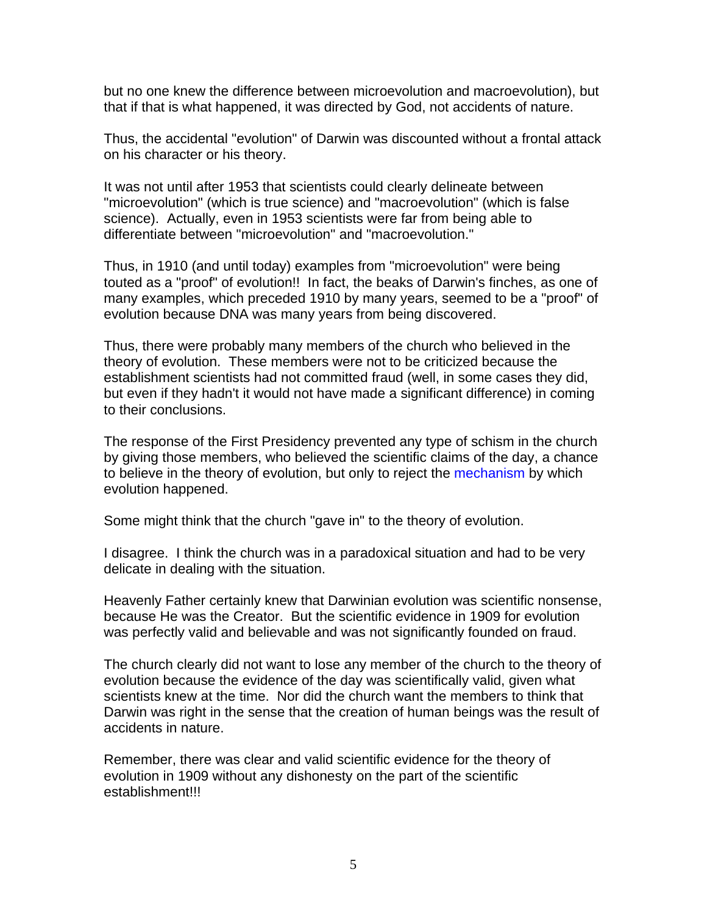but no one knew the difference between microevolution and macroevolution), but that if that is what happened, it was directed by God, not accidents of nature.

Thus, the accidental "evolution" of Darwin was discounted without a frontal attack on his character or his theory.

It was not until after 1953 that scientists could clearly delineate between "microevolution" (which is true science) and "macroevolution" (which is false science). Actually, even in 1953 scientists were far from being able to differentiate between "microevolution" and "macroevolution."

Thus, in 1910 (and until today) examples from "microevolution" were being touted as a "proof" of evolution!! In fact, the beaks of Darwin's finches, as one of many examples, which preceded 1910 by many years, seemed to be a "proof" of evolution because DNA was many years from being discovered.

Thus, there were probably many members of the church who believed in the theory of evolution. These members were not to be criticized because the establishment scientists had not committed fraud (well, in some cases they did, but even if they hadn't it would not have made a significant difference) in coming to their conclusions.

The response of the First Presidency prevented any type of schism in the church by giving those members, who believed the scientific claims of the day, a chance to believe in the theory of evolution, but only to reject the mechanism by which evolution happened.

Some might think that the church "gave in" to the theory of evolution.

I disagree. I think the church was in a paradoxical situation and had to be very delicate in dealing with the situation.

Heavenly Father certainly knew that Darwinian evolution was scientific nonsense, because He was the Creator. But the scientific evidence in 1909 for evolution was perfectly valid and believable and was not significantly founded on fraud.

The church clearly did not want to lose any member of the church to the theory of evolution because the evidence of the day was scientifically valid, given what scientists knew at the time. Nor did the church want the members to think that Darwin was right in the sense that the creation of human beings was the result of accidents in nature.

Remember, there was clear and valid scientific evidence for the theory of evolution in 1909 without any dishonesty on the part of the scientific establishment!!!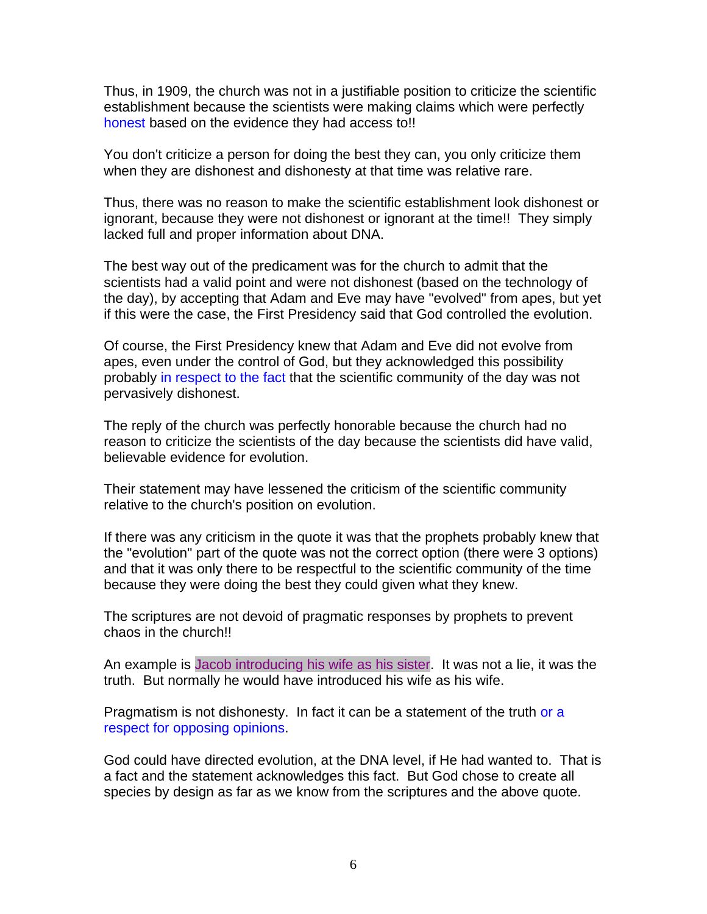Thus, in 1909, the church was not in a justifiable position to criticize the scientific establishment because the scientists were making claims which were perfectly honest based on the evidence they had access to!!

You don't criticize a person for doing the best they can, you only criticize them when they are dishonest and dishonesty at that time was relative rare.

Thus, there was no reason to make the scientific establishment look dishonest or ignorant, because they were not dishonest or ignorant at the time!! They simply lacked full and proper information about DNA.

The best way out of the predicament was for the church to admit that the scientists had a valid point and were not dishonest (based on the technology of the day), by accepting that Adam and Eve may have "evolved" from apes, but yet if this were the case, the First Presidency said that God controlled the evolution.

Of course, the First Presidency knew that Adam and Eve did not evolve from apes, even under the control of God, but they acknowledged this possibility probably in respect to the fact that the scientific community of the day was not pervasively dishonest.

The reply of the church was perfectly honorable because the church had no reason to criticize the scientists of the day because the scientists did have valid, believable evidence for evolution.

Their statement may have lessened the criticism of the scientific community relative to the church's position on evolution.

If there was any criticism in the quote it was that the prophets probably knew that the "evolution" part of the quote was not the correct option (there were 3 options) and that it was only there to be respectful to the scientific community of the time because they were doing the best they could given what they knew.

The scriptures are not devoid of pragmatic responses by prophets to prevent chaos in the church!!

An example is Jacob introducing his wife as his sister. It was not a lie, it was the truth. But normally he would have introduced his wife as his wife.

Pragmatism is not dishonesty. In fact it can be a statement of the truth or a respect for opposing opinions.

God could have directed evolution, at the DNA level, if He had wanted to. That is a fact and the statement acknowledges this fact. But God chose to create all species by design as far as we know from the scriptures and the above quote.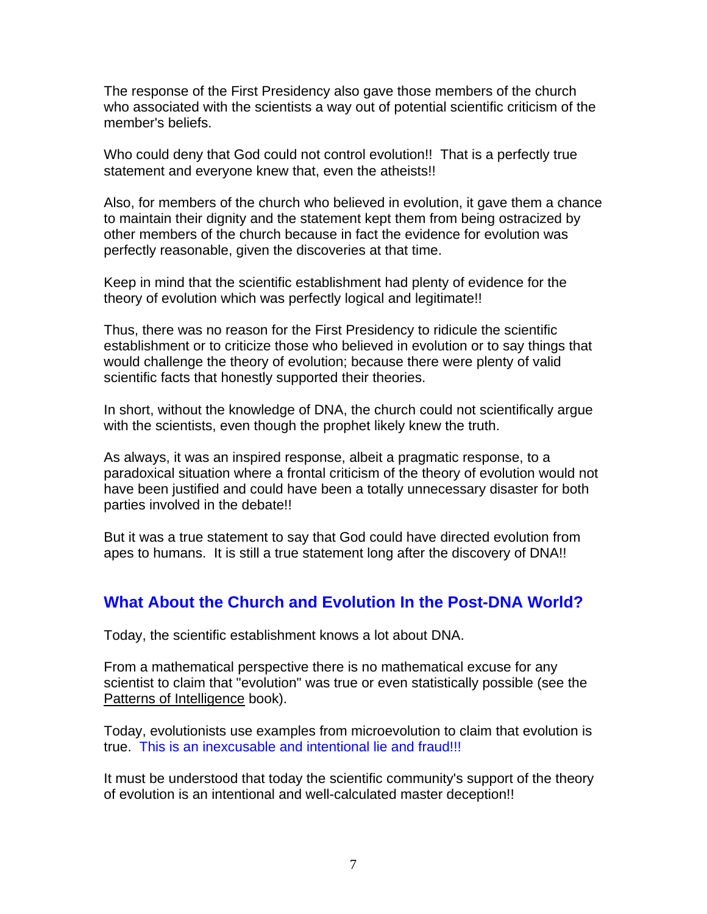The response of the First Presidency also gave those members of the church who associated with the scientists a way out of potential scientific criticism of the member's beliefs.

Who could deny that God could not control evolution!! That is a perfectly true statement and everyone knew that, even the atheists!!

Also, for members of the church who believed in evolution, it gave them a chance to maintain their dignity and the statement kept them from being ostracized by other members of the church because in fact the evidence for evolution was perfectly reasonable, given the discoveries at that time.

Keep in mind that the scientific establishment had plenty of evidence for the theory of evolution which was perfectly logical and legitimate!!

Thus, there was no reason for the First Presidency to ridicule the scientific establishment or to criticize those who believed in evolution or to say things that would challenge the theory of evolution; because there were plenty of valid scientific facts that honestly supported their theories.

In short, without the knowledge of DNA, the church could not scientifically argue with the scientists, even though the prophet likely knew the truth.

As always, it was an inspired response, albeit a pragmatic response, to a paradoxical situation where a frontal criticism of the theory of evolution would not have been justified and could have been a totally unnecessary disaster for both parties involved in the debate!!

But it was a true statement to say that God could have directed evolution from apes to humans. It is still a true statement long after the discovery of DNA!!

## **What About the Church and Evolution In the Post-DNA World?**

Today, the scientific establishment knows a lot about DNA.

From a mathematical perspective there is no mathematical excuse for any scientist to claim that "evolution" was true or even statistically possible (see the Patterns of Intelligence book).

Today, evolutionists use examples from microevolution to claim that evolution is true. This is an inexcusable and intentional lie and fraud!!!

It must be understood that today the scientific community's support of the theory of evolution is an intentional and well-calculated master deception!!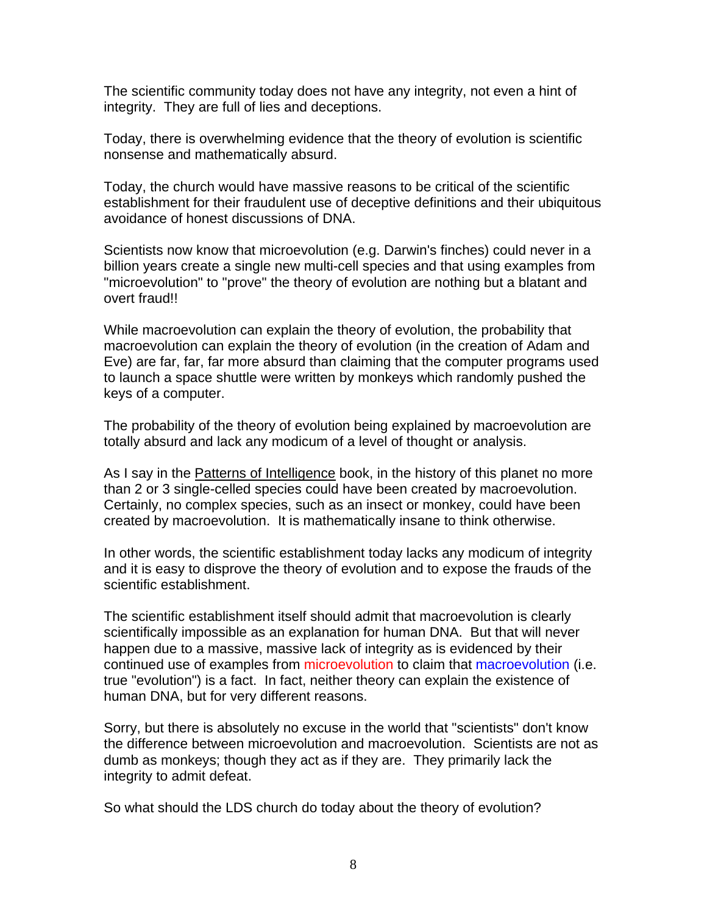The scientific community today does not have any integrity, not even a hint of integrity. They are full of lies and deceptions.

Today, there is overwhelming evidence that the theory of evolution is scientific nonsense and mathematically absurd.

Today, the church would have massive reasons to be critical of the scientific establishment for their fraudulent use of deceptive definitions and their ubiquitous avoidance of honest discussions of DNA.

Scientists now know that microevolution (e.g. Darwin's finches) could never in a billion years create a single new multi-cell species and that using examples from "microevolution" to "prove" the theory of evolution are nothing but a blatant and overt fraud!!

While macroevolution can explain the theory of evolution, the probability that macroevolution can explain the theory of evolution (in the creation of Adam and Eve) are far, far, far more absurd than claiming that the computer programs used to launch a space shuttle were written by monkeys which randomly pushed the keys of a computer.

The probability of the theory of evolution being explained by macroevolution are totally absurd and lack any modicum of a level of thought or analysis.

As I say in the Patterns of Intelligence book, in the history of this planet no more than 2 or 3 single-celled species could have been created by macroevolution. Certainly, no complex species, such as an insect or monkey, could have been created by macroevolution. It is mathematically insane to think otherwise.

In other words, the scientific establishment today lacks any modicum of integrity and it is easy to disprove the theory of evolution and to expose the frauds of the scientific establishment.

The scientific establishment itself should admit that macroevolution is clearly scientifically impossible as an explanation for human DNA. But that will never happen due to a massive, massive lack of integrity as is evidenced by their continued use of examples from microevolution to claim that macroevolution (i.e. true "evolution") is a fact. In fact, neither theory can explain the existence of human DNA, but for very different reasons.

Sorry, but there is absolutely no excuse in the world that "scientists" don't know the difference between microevolution and macroevolution. Scientists are not as dumb as monkeys; though they act as if they are. They primarily lack the integrity to admit defeat.

So what should the LDS church do today about the theory of evolution?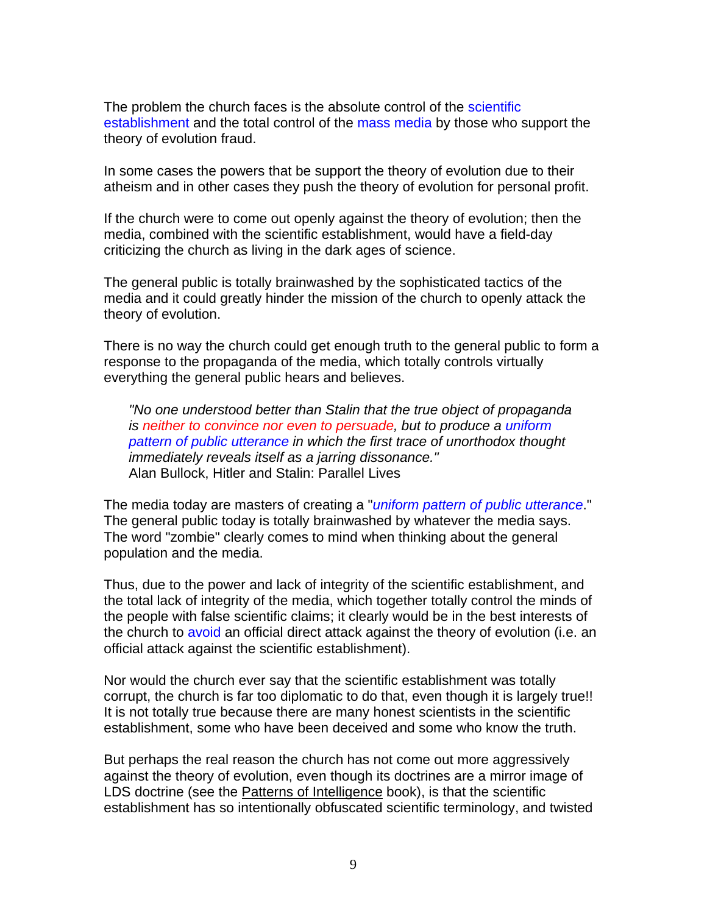The problem the church faces is the absolute control of the scientific establishment and the total control of the mass media by those who support the theory of evolution fraud.

In some cases the powers that be support the theory of evolution due to their atheism and in other cases they push the theory of evolution for personal profit.

If the church were to come out openly against the theory of evolution; then the media, combined with the scientific establishment, would have a field-day criticizing the church as living in the dark ages of science.

The general public is totally brainwashed by the sophisticated tactics of the media and it could greatly hinder the mission of the church to openly attack the theory of evolution.

There is no way the church could get enough truth to the general public to form a response to the propaganda of the media, which totally controls virtually everything the general public hears and believes.

*"No one understood better than Stalin that the true object of propaganda is neither to convince nor even to persuade, but to produce a uniform pattern of public utterance in which the first trace of unorthodox thought immediately reveals itself as a jarring dissonance."*  Alan Bullock, Hitler and Stalin: Parallel Lives

The media today are masters of creating a "*uniform pattern of public utterance*." The general public today is totally brainwashed by whatever the media says. The word "zombie" clearly comes to mind when thinking about the general population and the media.

Thus, due to the power and lack of integrity of the scientific establishment, and the total lack of integrity of the media, which together totally control the minds of the people with false scientific claims; it clearly would be in the best interests of the church to avoid an official direct attack against the theory of evolution (i.e. an official attack against the scientific establishment).

Nor would the church ever say that the scientific establishment was totally corrupt, the church is far too diplomatic to do that, even though it is largely true!! It is not totally true because there are many honest scientists in the scientific establishment, some who have been deceived and some who know the truth.

But perhaps the real reason the church has not come out more aggressively against the theory of evolution, even though its doctrines are a mirror image of LDS doctrine (see the Patterns of Intelligence book), is that the scientific establishment has so intentionally obfuscated scientific terminology, and twisted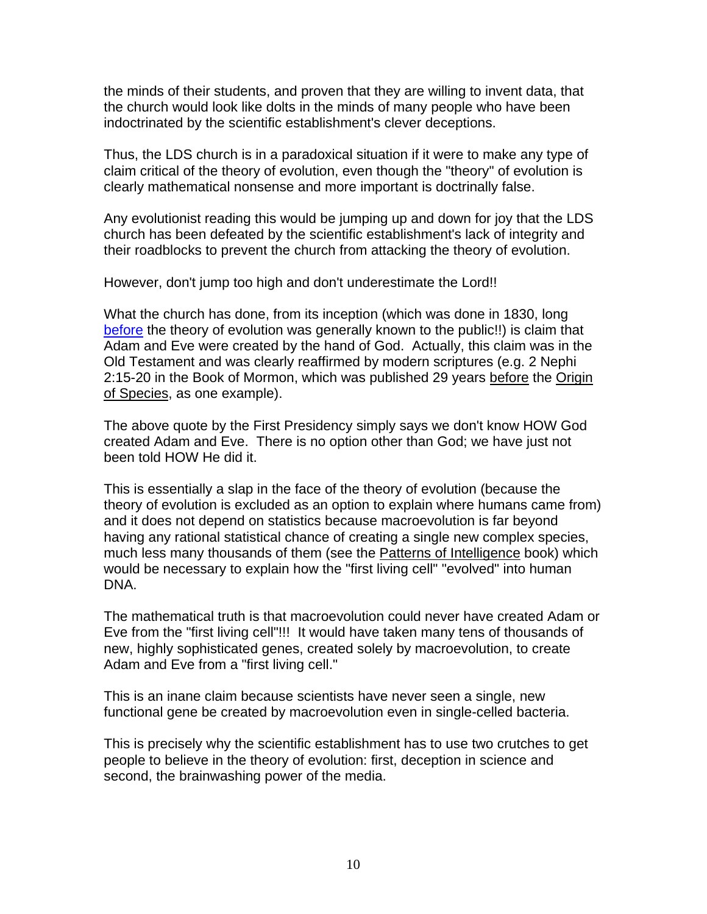the minds of their students, and proven that they are willing to invent data, that the church would look like dolts in the minds of many people who have been indoctrinated by the scientific establishment's clever deceptions.

Thus, the LDS church is in a paradoxical situation if it were to make any type of claim critical of the theory of evolution, even though the "theory" of evolution is clearly mathematical nonsense and more important is doctrinally false.

Any evolutionist reading this would be jumping up and down for joy that the LDS church has been defeated by the scientific establishment's lack of integrity and their roadblocks to prevent the church from attacking the theory of evolution.

However, don't jump too high and don't underestimate the Lord!!

What the church has done, from its inception (which was done in 1830, long before the theory of evolution was generally known to the public!!) is claim that Adam and Eve were created by the hand of God. Actually, this claim was in the Old Testament and was clearly reaffirmed by modern scriptures (e.g. 2 Nephi 2:15-20 in the Book of Mormon, which was published 29 years before the Origin of Species, as one example).

The above quote by the First Presidency simply says we don't know HOW God created Adam and Eve. There is no option other than God; we have just not been told HOW He did it.

This is essentially a slap in the face of the theory of evolution (because the theory of evolution is excluded as an option to explain where humans came from) and it does not depend on statistics because macroevolution is far beyond having any rational statistical chance of creating a single new complex species, much less many thousands of them (see the Patterns of Intelligence book) which would be necessary to explain how the "first living cell" "evolved" into human DNA.

The mathematical truth is that macroevolution could never have created Adam or Eve from the "first living cell"!!! It would have taken many tens of thousands of new, highly sophisticated genes, created solely by macroevolution, to create Adam and Eve from a "first living cell."

This is an inane claim because scientists have never seen a single, new functional gene be created by macroevolution even in single-celled bacteria.

This is precisely why the scientific establishment has to use two crutches to get people to believe in the theory of evolution: first, deception in science and second, the brainwashing power of the media.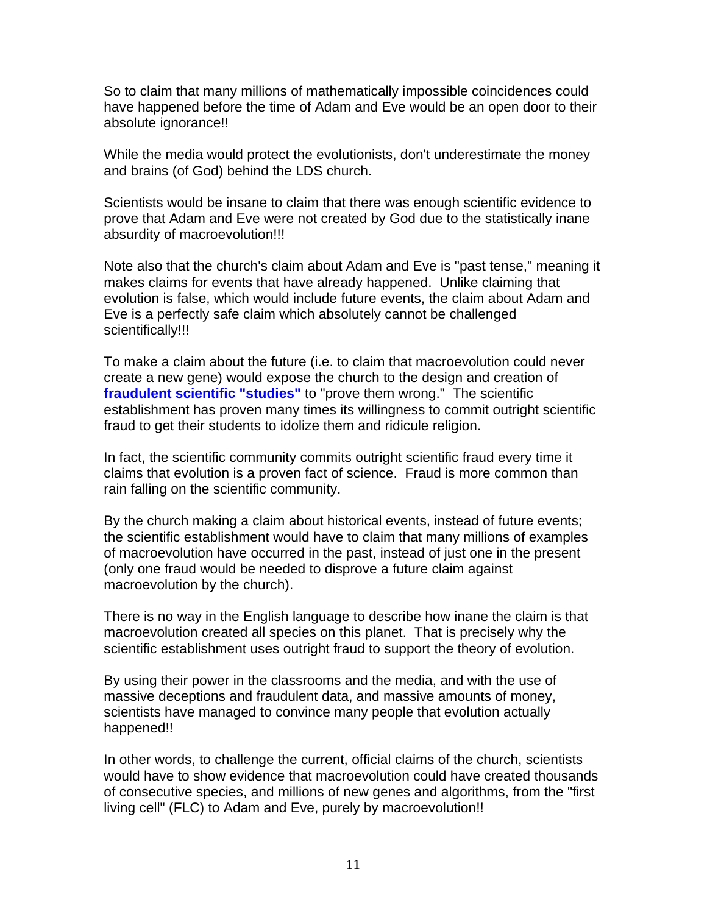So to claim that many millions of mathematically impossible coincidences could have happened before the time of Adam and Eve would be an open door to their absolute ignorance!!

While the media would protect the evolutionists, don't underestimate the money and brains (of God) behind the LDS church.

Scientists would be insane to claim that there was enough scientific evidence to prove that Adam and Eve were not created by God due to the statistically inane absurdity of macroevolution!!!

Note also that the church's claim about Adam and Eve is "past tense," meaning it makes claims for events that have already happened. Unlike claiming that evolution is false, which would include future events, the claim about Adam and Eve is a perfectly safe claim which absolutely cannot be challenged scientifically!!!

To make a claim about the future (i.e. to claim that macroevolution could never create a new gene) would expose the church to the design and creation of **fraudulent scientific "studies"** to "prove them wrong." The scientific establishment has proven many times its willingness to commit outright scientific fraud to get their students to idolize them and ridicule religion.

In fact, the scientific community commits outright scientific fraud every time it claims that evolution is a proven fact of science. Fraud is more common than rain falling on the scientific community.

By the church making a claim about historical events, instead of future events; the scientific establishment would have to claim that many millions of examples of macroevolution have occurred in the past, instead of just one in the present (only one fraud would be needed to disprove a future claim against macroevolution by the church).

There is no way in the English language to describe how inane the claim is that macroevolution created all species on this planet. That is precisely why the scientific establishment uses outright fraud to support the theory of evolution.

By using their power in the classrooms and the media, and with the use of massive deceptions and fraudulent data, and massive amounts of money, scientists have managed to convince many people that evolution actually happened!!

In other words, to challenge the current, official claims of the church, scientists would have to show evidence that macroevolution could have created thousands of consecutive species, and millions of new genes and algorithms, from the "first living cell" (FLC) to Adam and Eve, purely by macroevolution!!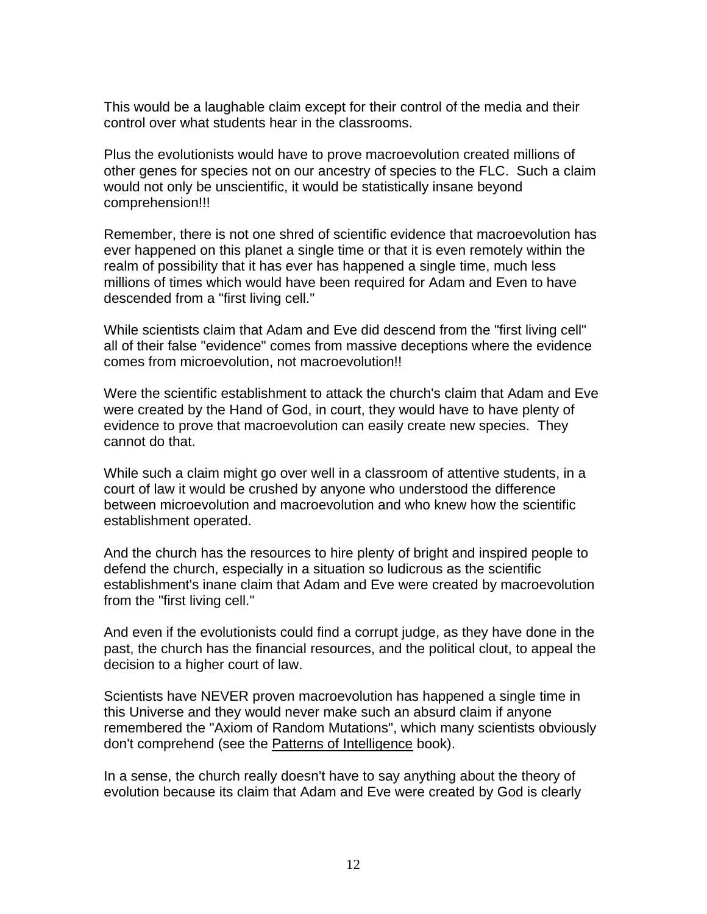This would be a laughable claim except for their control of the media and their control over what students hear in the classrooms.

Plus the evolutionists would have to prove macroevolution created millions of other genes for species not on our ancestry of species to the FLC. Such a claim would not only be unscientific, it would be statistically insane beyond comprehension!!!

Remember, there is not one shred of scientific evidence that macroevolution has ever happened on this planet a single time or that it is even remotely within the realm of possibility that it has ever has happened a single time, much less millions of times which would have been required for Adam and Even to have descended from a "first living cell."

While scientists claim that Adam and Eve did descend from the "first living cell" all of their false "evidence" comes from massive deceptions where the evidence comes from microevolution, not macroevolution!!

Were the scientific establishment to attack the church's claim that Adam and Eve were created by the Hand of God, in court, they would have to have plenty of evidence to prove that macroevolution can easily create new species. They cannot do that.

While such a claim might go over well in a classroom of attentive students, in a court of law it would be crushed by anyone who understood the difference between microevolution and macroevolution and who knew how the scientific establishment operated.

And the church has the resources to hire plenty of bright and inspired people to defend the church, especially in a situation so ludicrous as the scientific establishment's inane claim that Adam and Eve were created by macroevolution from the "first living cell."

And even if the evolutionists could find a corrupt judge, as they have done in the past, the church has the financial resources, and the political clout, to appeal the decision to a higher court of law.

Scientists have NEVER proven macroevolution has happened a single time in this Universe and they would never make such an absurd claim if anyone remembered the "Axiom of Random Mutations", which many scientists obviously don't comprehend (see the Patterns of Intelligence book).

In a sense, the church really doesn't have to say anything about the theory of evolution because its claim that Adam and Eve were created by God is clearly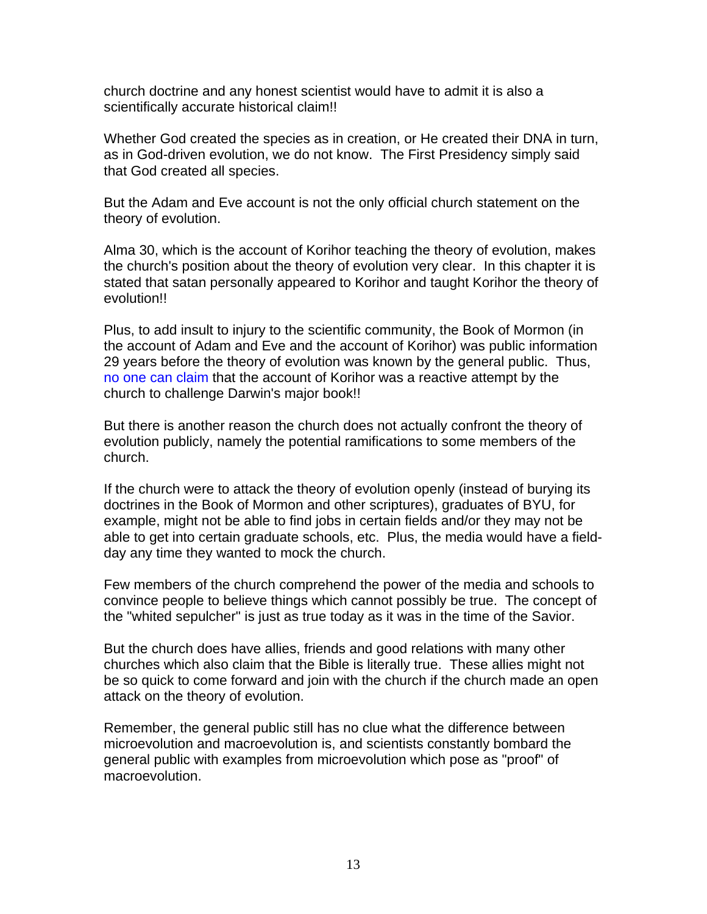church doctrine and any honest scientist would have to admit it is also a scientifically accurate historical claim!!

Whether God created the species as in creation, or He created their DNA in turn, as in God-driven evolution, we do not know. The First Presidency simply said that God created all species.

But the Adam and Eve account is not the only official church statement on the theory of evolution.

Alma 30, which is the account of Korihor teaching the theory of evolution, makes the church's position about the theory of evolution very clear. In this chapter it is stated that satan personally appeared to Korihor and taught Korihor the theory of evolution!!

Plus, to add insult to injury to the scientific community, the Book of Mormon (in the account of Adam and Eve and the account of Korihor) was public information 29 years before the theory of evolution was known by the general public. Thus, no one can claim that the account of Korihor was a reactive attempt by the church to challenge Darwin's major book!!

But there is another reason the church does not actually confront the theory of evolution publicly, namely the potential ramifications to some members of the church.

If the church were to attack the theory of evolution openly (instead of burying its doctrines in the Book of Mormon and other scriptures), graduates of BYU, for example, might not be able to find jobs in certain fields and/or they may not be able to get into certain graduate schools, etc. Plus, the media would have a fieldday any time they wanted to mock the church.

Few members of the church comprehend the power of the media and schools to convince people to believe things which cannot possibly be true. The concept of the "whited sepulcher" is just as true today as it was in the time of the Savior.

But the church does have allies, friends and good relations with many other churches which also claim that the Bible is literally true. These allies might not be so quick to come forward and join with the church if the church made an open attack on the theory of evolution.

Remember, the general public still has no clue what the difference between microevolution and macroevolution is, and scientists constantly bombard the general public with examples from microevolution which pose as "proof" of macroevolution.